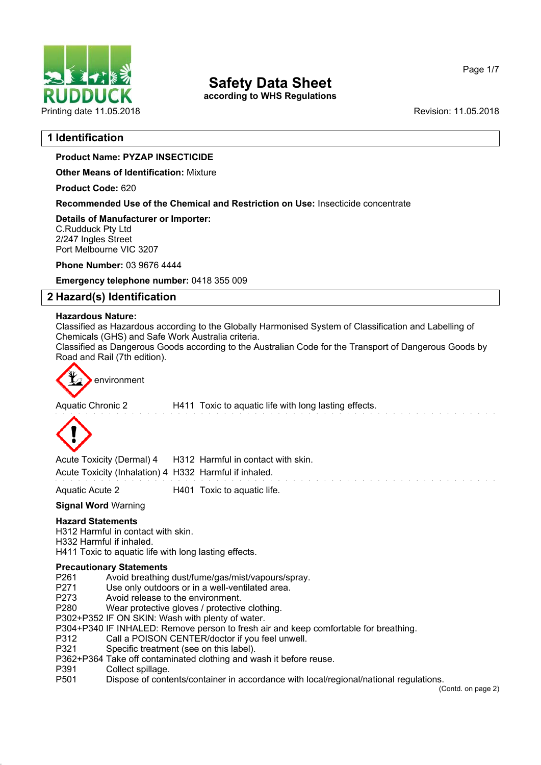

**according to WHS Regulations**

Page 1/7

# **1 Identification**

# **Product Name: PYZAP INSECTICIDE**

**Other Means of Identification:** Mixture

**Product Code:** 620

**Recommended Use of the Chemical and Restriction on Use:** Insecticide concentrate

**Details of Manufacturer or Importer:** C.Rudduck Pty Ltd 2/247 Ingles Street Port Melbourne VIC 3207

**Phone Number:** 03 9676 4444

**Emergency telephone number:** 0418 355 009

# **2 Hazard(s) Identification**

### **Hazardous Nature:**

Classified as Hazardous according to the Globally Harmonised System of Classification and Labelling of Chemicals (GHS) and Safe Work Australia criteria.

Classified as Dangerous Goods according to the Australian Code for the Transport of Dangerous Goods by Road and Rail (7th edition).



Aquatic Chronic 2 H411 Toxic to aquatic life with long lasting effects.



Acute Toxicity (Dermal) 4 H312 Harmful in contact with skin. Acute Toxicity (Inhalation) 4 H332 Harmful if inhaled.

Aquatic Acute 2 H401 Toxic to aquatic life.

## **Signal Word** Warning

## **Hazard Statements**

H312 Harmful in contact with skin. H332 Harmful if inhaled. H411 Toxic to aquatic life with long lasting effects.

# **Precautionary Statements**

- P261 Avoid breathing dust/fume/gas/mist/vapours/spray.
- P271 Use only outdoors or in a well-ventilated area.
- P273 Avoid release to the environment.<br>P280 Wear protective gloves / protective
- Wear protective gloves / protective clothing.
- P302+P352 IF ON SKIN: Wash with plenty of water.
- P304+P340 IF INHALED: Remove person to fresh air and keep comfortable for breathing.
- P312 Call a POISON CENTER/doctor if you feel unwell.
- P321 Specific treatment (see on this label).
- P362+P364 Take off contaminated clothing and wash it before reuse.
- P391 Collect spillage.
- P501 Dispose of contents/container in accordance with local/regional/national regulations.

(Contd. on page 2)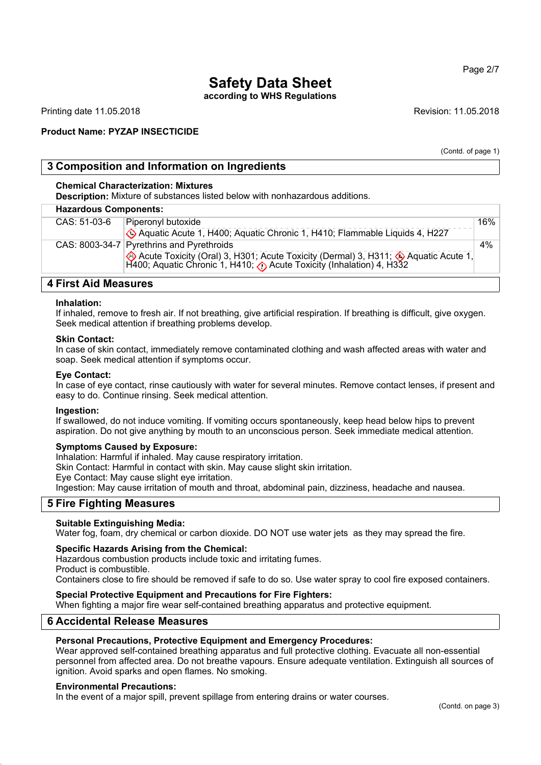## Page 2/7

# **Safety Data Sheet**

**according to WHS Regulations**

Printing date 11.05.2018 **Revision: 11.05.2018** Revision: 11.05.2018

# **Product Name: PYZAP INSECTICIDE**

(Contd. of page 1)

# **3 Composition and Information on Ingredients**

## **Chemical Characterization: Mixtures**

**Description:** Mixture of substances listed below with nonhazardous additions.

### **Hazardous Components:**

| <b>Hazardous Ooniponents.</b> |                                                                                                                                                               |     |  |
|-------------------------------|---------------------------------------------------------------------------------------------------------------------------------------------------------------|-----|--|
| CAS: 51-03-6                  | Piperonyl butoxide                                                                                                                                            | 16% |  |
|                               | Aquatic Acute 1, H400; Aquatic Chronic 1, H410; Flammable Liquids 4, H227                                                                                     |     |  |
|                               | CAS: 8003-34-7 Pyrethrins and Pyrethroids                                                                                                                     | 4%  |  |
|                               | Acute Toxicity (Oral) 3, H301; Acute Toxicity (Dermal) 3, H311; Aquatic Acute 1, H400; Aquatic Chronic 1, H410; $\bullet$ Acute Toxicity (Inhalation) 4, H332 |     |  |
|                               |                                                                                                                                                               |     |  |

# **4 First Aid Measures**

#### **Inhalation:**

If inhaled, remove to fresh air. If not breathing, give artificial respiration. If breathing is difficult, give oxygen. Seek medical attention if breathing problems develop.

#### **Skin Contact:**

In case of skin contact, immediately remove contaminated clothing and wash affected areas with water and soap. Seek medical attention if symptoms occur.

#### **Eye Contact:**

In case of eye contact, rinse cautiously with water for several minutes. Remove contact lenses, if present and easy to do. Continue rinsing. Seek medical attention.

#### **Ingestion:**

If swallowed, do not induce vomiting. If vomiting occurs spontaneously, keep head below hips to prevent aspiration. Do not give anything by mouth to an unconscious person. Seek immediate medical attention.

#### **Symptoms Caused by Exposure:**

Inhalation: Harmful if inhaled. May cause respiratory irritation.

Skin Contact: Harmful in contact with skin. May cause slight skin irritation.

Eye Contact: May cause slight eye irritation.

Ingestion: May cause irritation of mouth and throat, abdominal pain, dizziness, headache and nausea.

# **5 Fire Fighting Measures**

#### **Suitable Extinguishing Media:**

Water fog, foam, dry chemical or carbon dioxide. DO NOT use water jets as they may spread the fire.

#### **Specific Hazards Arising from the Chemical:**

Hazardous combustion products include toxic and irritating fumes. Product is combustible. Containers close to fire should be removed if safe to do so. Use water spray to cool fire exposed containers.

## **Special Protective Equipment and Precautions for Fire Fighters:**

When fighting a major fire wear self-contained breathing apparatus and protective equipment.

# **6 Accidental Release Measures**

#### **Personal Precautions, Protective Equipment and Emergency Procedures:**

Wear approved self-contained breathing apparatus and full protective clothing. Evacuate all non-essential personnel from affected area. Do not breathe vapours. Ensure adequate ventilation. Extinguish all sources of ignition. Avoid sparks and open flames. No smoking.

#### **Environmental Precautions:**

In the event of a major spill, prevent spillage from entering drains or water courses.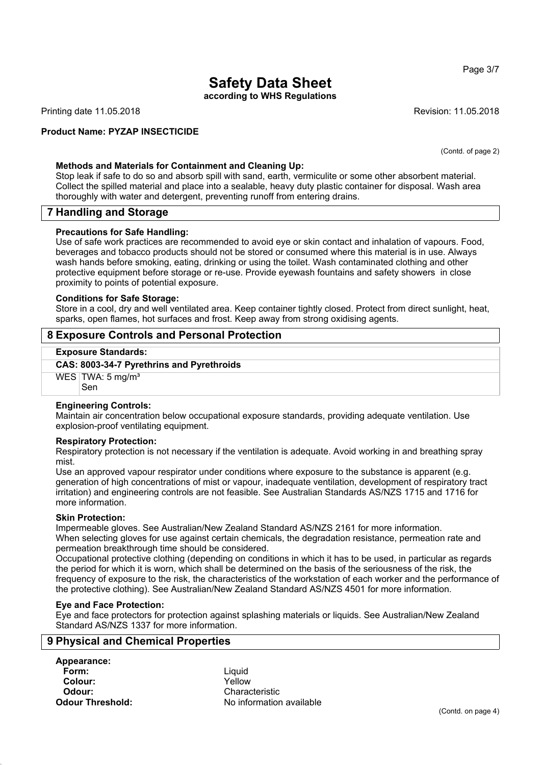**according to WHS Regulations**

Printing date 11.05.2018 **Revision: 11.05.2018** Revision: 11.05.2018

### **Product Name: PYZAP INSECTICIDE**

(Contd. of page 2)

#### **Methods and Materials for Containment and Cleaning Up:**

Stop leak if safe to do so and absorb spill with sand, earth, vermiculite or some other absorbent material. Collect the spilled material and place into a sealable, heavy duty plastic container for disposal. Wash area thoroughly with water and detergent, preventing runoff from entering drains.

## **7 Handling and Storage**

#### **Precautions for Safe Handling:**

Use of safe work practices are recommended to avoid eye or skin contact and inhalation of vapours. Food, beverages and tobacco products should not be stored or consumed where this material is in use. Always wash hands before smoking, eating, drinking or using the toilet. Wash contaminated clothing and other protective equipment before storage or re-use. Provide eyewash fountains and safety showers in close proximity to points of potential exposure.

#### **Conditions for Safe Storage:**

Store in a cool, dry and well ventilated area. Keep container tightly closed. Protect from direct sunlight, heat, sparks, open flames, hot surfaces and frost. Keep away from strong oxidising agents.

# **8 Exposure Controls and Personal Protection**

#### **Exposure Standards:**

#### **CAS: 8003-34-7 Pyrethrins and Pyrethroids**

WES TWA: 5 mg/m<sup>3</sup>

Sen

#### **Engineering Controls:**

Maintain air concentration below occupational exposure standards, providing adequate ventilation. Use explosion-proof ventilating equipment.

#### **Respiratory Protection:**

Respiratory protection is not necessary if the ventilation is adequate. Avoid working in and breathing spray mist.

Use an approved vapour respirator under conditions where exposure to the substance is apparent (e.g. generation of high concentrations of mist or vapour, inadequate ventilation, development of respiratory tract irritation) and engineering controls are not feasible. See Australian Standards AS/NZS 1715 and 1716 for more information.

#### **Skin Protection:**

Impermeable gloves. See Australian/New Zealand Standard AS/NZS 2161 for more information. When selecting gloves for use against certain chemicals, the degradation resistance, permeation rate and permeation breakthrough time should be considered.

Occupational protective clothing (depending on conditions in which it has to be used, in particular as regards the period for which it is worn, which shall be determined on the basis of the seriousness of the risk, the frequency of exposure to the risk, the characteristics of the workstation of each worker and the performance of the protective clothing). See Australian/New Zealand Standard AS/NZS 4501 for more information.

#### **Eye and Face Protection:**

Eye and face protectors for protection against splashing materials or liquids. See Australian/New Zealand Standard AS/NZS 1337 for more information.

## **9 Physical and Chemical Properties**

**Appearance: Form:** Liquid **Colour: Odour:** Characteristic

**Odour Threshold:** No information available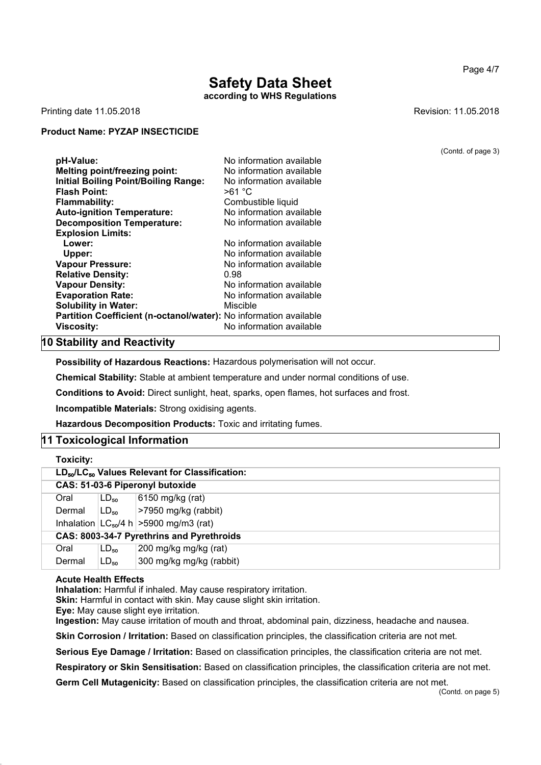# **Safety Data Sheet according to WHS Regulations**

Printing date 11.05.2018 **Printing date 11.05.2018** 

### **Product Name: PYZAP INSECTICIDE**

| pH-Value:<br><b>Melting point/freezing point:</b><br><b>Initial Boiling Point/Boiling Range:</b><br><b>Flash Point:</b><br><b>Flammability:</b><br><b>Auto-ignition Temperature:</b> | No information available<br>No information available<br>No information available<br>>61 °C<br>Combustible liquid<br>No information available |
|--------------------------------------------------------------------------------------------------------------------------------------------------------------------------------------|----------------------------------------------------------------------------------------------------------------------------------------------|
| <b>Decomposition Temperature:</b>                                                                                                                                                    | No information available                                                                                                                     |
| <b>Explosion Limits:</b>                                                                                                                                                             |                                                                                                                                              |
| Lower:                                                                                                                                                                               | No information available                                                                                                                     |
| Upper:                                                                                                                                                                               | No information available                                                                                                                     |
| <b>Vapour Pressure:</b>                                                                                                                                                              | No information available                                                                                                                     |
| <b>Relative Density:</b>                                                                                                                                                             | 0.98                                                                                                                                         |
| <b>Vapour Density:</b>                                                                                                                                                               | No information available                                                                                                                     |
| <b>Evaporation Rate:</b>                                                                                                                                                             | No information available                                                                                                                     |
| <b>Solubility in Water:</b>                                                                                                                                                          | Miscible                                                                                                                                     |
| Partition Coefficient (n-octanol/water): No information available                                                                                                                    |                                                                                                                                              |
| <b>Viscosity:</b>                                                                                                                                                                    | No information available                                                                                                                     |

## **10 Stability and Reactivity**

**Possibility of Hazardous Reactions:** Hazardous polymerisation will not occur.

**Chemical Stability:** Stable at ambient temperature and under normal conditions of use.

**Conditions to Avoid:** Direct sunlight, heat, sparks, open flames, hot surfaces and frost.

**Incompatible Materials:** Strong oxidising agents.

**Hazardous Decomposition Products:** Toxic and irritating fumes.

#### **11 Toxicological Information**

| Toxicity: |                                                                        |                                               |  |  |  |
|-----------|------------------------------------------------------------------------|-----------------------------------------------|--|--|--|
|           | LD <sub>50</sub> /LC <sub>50</sub> Values Relevant for Classification: |                                               |  |  |  |
|           | CAS: 51-03-6 Piperonyl butoxide                                        |                                               |  |  |  |
| Oral      | $LD_{50}$                                                              | 6150 mg/kg (rat)                              |  |  |  |
| Dermal    | $ LD_{50} $                                                            | $ >7950$ mg/kg (rabbit)                       |  |  |  |
|           |                                                                        | Inhalation $ LC_{50}/4 h  > 5900 mg/m3$ (rat) |  |  |  |
|           | CAS: 8003-34-7 Pyrethrins and Pyrethroids                              |                                               |  |  |  |
| Oral      | $LD_{50}$                                                              | 200 mg/kg mg/kg (rat)                         |  |  |  |
| Dermal    | $LD_{50}$                                                              | 300 mg/kg mg/kg (rabbit)                      |  |  |  |

#### **Acute Health Effects**

**Inhalation:** Harmful if inhaled. May cause respiratory irritation.

**Skin:** Harmful in contact with skin. May cause slight skin irritation.

**Eye:** May cause slight eye irritation.

**Ingestion:** May cause irritation of mouth and throat, abdominal pain, dizziness, headache and nausea.

**Skin Corrosion / Irritation:** Based on classification principles, the classification criteria are not met.

**Serious Eye Damage / Irritation:** Based on classification principles, the classification criteria are not met.

**Respiratory or Skin Sensitisation:** Based on classification principles, the classification criteria are not met.

**Germ Cell Mutagenicity:** Based on classification principles, the classification criteria are not met.

Page 4/7

(Contd. of page 3)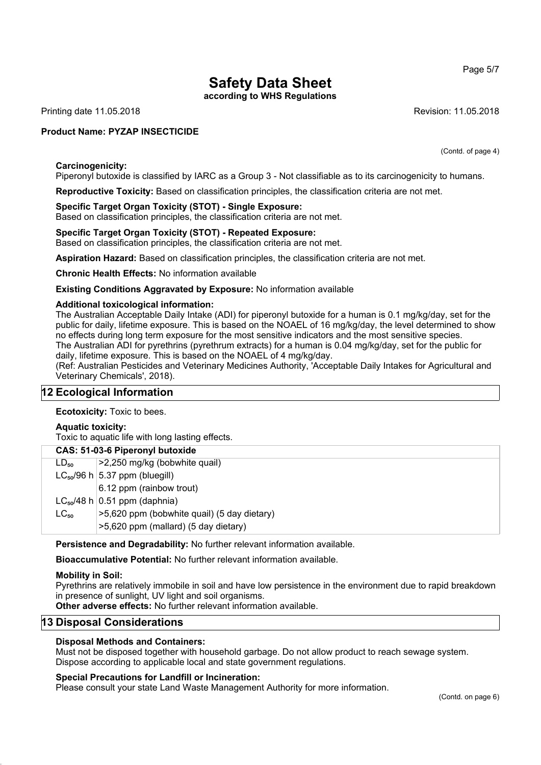**according to WHS Regulations**

Printing date 11.05.2018 **Revision: 11.05.2018** Revision: 11.05.2018

### **Product Name: PYZAP INSECTICIDE**

**Carcinogenicity:**

Piperonyl butoxide is classified by IARC as a Group 3 - Not classifiable as to its carcinogenicity to humans.

**Reproductive Toxicity:** Based on classification principles, the classification criteria are not met.

# **Specific Target Organ Toxicity (STOT) - Single Exposure:**

Based on classification principles, the classification criteria are not met.

# **Specific Target Organ Toxicity (STOT) - Repeated Exposure:**

Based on classification principles, the classification criteria are not met.

**Aspiration Hazard:** Based on classification principles, the classification criteria are not met.

**Chronic Health Effects:** No information available

#### **Existing Conditions Aggravated by Exposure:** No information available

#### **Additional toxicological information:**

The Australian Acceptable Daily Intake (ADI) for piperonyl butoxide for a human is 0.1 mg/kg/day, set for the public for daily, lifetime exposure. This is based on the NOAEL of 16 mg/kg/day, the level determined to show no effects during long term exposure for the most sensitive indicators and the most sensitive species. The Australian ADI for pyrethrins (pyrethrum extracts) for a human is 0.04 mg/kg/day, set for the public for daily, lifetime exposure. This is based on the NOAEL of 4 mg/kg/day.

(Ref: Australian Pesticides and Veterinary Medicines Authority, 'Acceptable Daily Intakes for Agricultural and Veterinary Chemicals', 2018).

#### **12 Ecological Information**

**Ecotoxicity:** Toxic to bees.

#### **Aquatic toxicity:**

Toxic to aquatic life with long lasting effects.

# **CAS: 51-03-6 Piperonyl butoxide**

| $LD_{50}$ | >2,250 mg/kg (bobwhite quail)               |
|-----------|---------------------------------------------|
|           | $LC_{50}/96$ h $ 5.37$ ppm (bluegill)       |
|           | 6.12 ppm (rainbow trout)                    |
|           | $LC_{50}/48$ h 0.51 ppm (daphnia)           |
| $LC_{50}$ | >5,620 ppm (bobwhite quail) (5 day dietary) |
|           | >5,620 ppm (mallard) (5 day dietary)        |

**Persistence and Degradability:** No further relevant information available.

**Bioaccumulative Potential:** No further relevant information available.

#### **Mobility in Soil:**

Pyrethrins are relatively immobile in soil and have low persistence in the environment due to rapid breakdown in presence of sunlight, UV light and soil organisms.

**Other adverse effects:** No further relevant information available.

# **13 Disposal Considerations**

#### **Disposal Methods and Containers:**

Must not be disposed together with household garbage. Do not allow product to reach sewage system. Dispose according to applicable local and state government regulations.

#### **Special Precautions for Landfill or Incineration:**

Please consult your state Land Waste Management Authority for more information.

Page 5/7

(Contd. of page 4)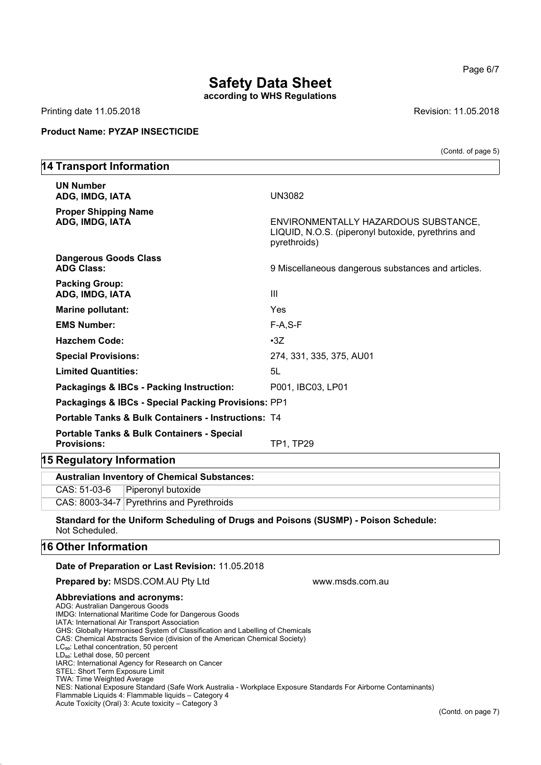**according to WHS Regulations**

Printing date 11.05.2018 **Printing date 11.05.2018** 

### **Product Name: PYZAP INSECTICIDE**

(Contd. of page 5)

# **14 Transport Information UN Number ADG, IMDG, IATA** UN3082 **Proper Shipping Name ENVIRONMENTALLY HAZARDOUS SUBSTANCE,** LIQUID, N.O.S. (piperonyl butoxide, pyrethrins and pyrethroids) **Dangerous Goods Class** ADG Class: **ADG Class:** 9 Miscellaneous dangerous substances and articles. **Packing Group: ADG, IMDG, IATA** III **Marine pollutant:** Yes **EMS Number:** F-A,S-F **Hazchem Code:** •3Z **Special Provisions:** 274, 331, 335, 375, AU01 **Limited Quantities:** 5L Packagings & IBCs - Packing Instruction: P001, IBC03, LP01 **Packagings & IBCs - Special Packing Provisions:** PP1 **Portable Tanks & Bulk Containers - Instructions:** T4 **Portable Tanks & Bulk Containers - Special Provisions:** TP1, TP29 **15 Regulatory Information**

**Australian Inventory of Chemical Substances:** CAS: 51-03-6 Piperonyl butoxide CAS: 8003-34-7 Pyrethrins and Pyrethroids

**Standard for the Uniform Scheduling of Drugs and Poisons (SUSMP) - Poison Schedule:** Not Scheduled.

## **16 Other Information**

#### **Date of Preparation or Last Revision:** 11.05.2018

## **Prepared by: MSDS.COM.AU Pty Ltd Warehouse Communisty Communisty Communisty Prepared My MSDS.COM.AU Pty Ltd**

#### **Abbreviations and acronyms:**

ADG: Australian Dangerous Goods IMDG: International Maritime Code for Dangerous Goods IATA: International Air Transport Association GHS: Globally Harmonised System of Classification and Labelling of Chemicals CAS: Chemical Abstracts Service (division of the American Chemical Society) LC<sub>50</sub>: Lethal concentration, 50 percent LD<sub>50</sub>: Lethal dose, 50 percent IARC: International Agency for Research on Cancer STEL: Short Term Exposure Limit TWA: Time Weighted Average NES: National Exposure Standard (Safe Work Australia - Workplace Exposure Standards For Airborne Contaminants) Flammable Liquids 4: Flammable liquids – Category 4

Acute Toxicity (Oral) 3: Acute toxicity – Category 3

Page 6/7